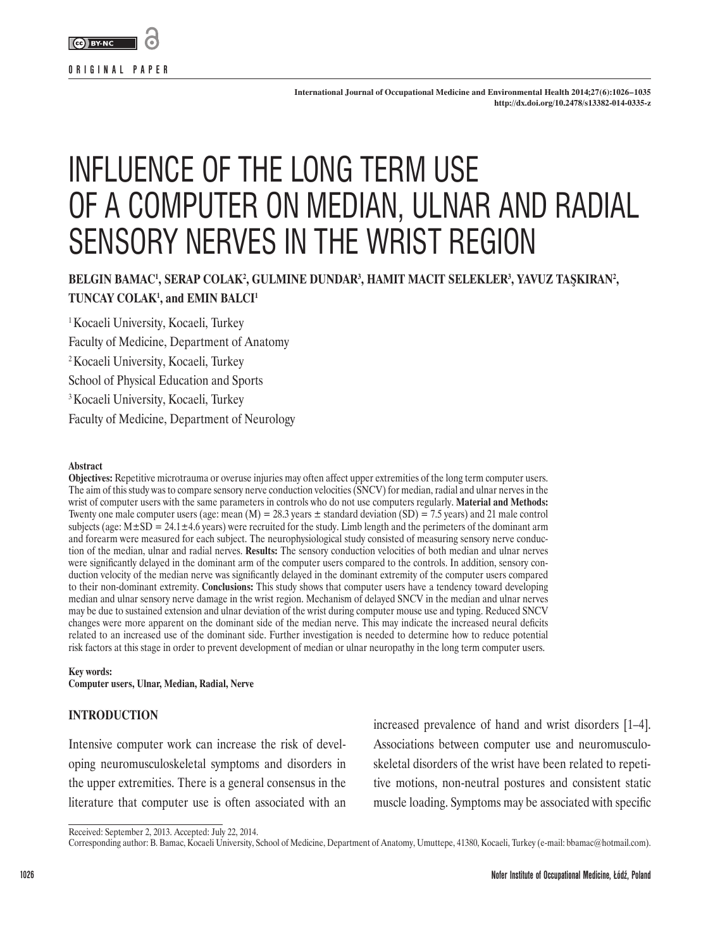

# INFLUENCE OF THE LONG TERM USE OF A COMPUTER ON MEDIAN, ULNAR AND RADIAL SENSORY NERVES IN THE WRIST REGION

# BELGIN BAMAC', SERAP COLAK<sup>2</sup>, GULMINE DUNDAR<sup>3</sup>, HAMIT MACIT SELEKLER<sup>3</sup>, YAVUZ TAŞKIRAN<del>'</del>, **TUNCAY COLAK1 , and EMIN BALCI1**

<sup>1</sup> Kocaeli University, Kocaeli, Turkey Faculty of Medicine, Department of Anatomy 2 Kocaeli University, Kocaeli, Turkey School of Physical Education and Sports <sup>3</sup> Kocaeli University, Kocaeli, Turkey Faculty of Medicine, Department of Neurology

#### **Abstract**

**Objectives:** Repetitive microtrauma or overuse injuries may often affect upper extremities of the long term computer users. The aim of this study was to compare sensory nerve conduction velocities (SNCV) for median, radial and ulnar nerves in the wrist of computer users with the same parameters in controls who do not use computers regularly. **Material and Methods:** Twenty one male computer users (age: mean  $(M) = 28.3$  years  $\pm$  standard deviation  $(SD) = 7.5$  years) and 21 male control subjects (age:  $M \pm SD = 24.1 \pm 4.6$  years) were recruited for the study. Limb length and the perimeters of the dominant arm and forearm were measured for each subject. The neurophysiological study consisted of measuring sensory nerve conduction of the median, ulnar and radial nerves. **Results:** The sensory conduction velocities of both median and ulnar nerves were significantly delayed in the dominant arm of the computer users compared to the controls. In addition, sensory conduction velocity of the median nerve was significantly delayed in the dominant extremity of the computer users compared to their non-dominant extremity. **Conclusions:** This study shows that computer users have a tendency toward developing median and ulnar sensory nerve damage in the wrist region. Mechanism of delayed SNCV in the median and ulnar nerves may be due to sustained extension and ulnar deviation of the wrist during computer mouse use and typing. Reduced SNCV changes were more apparent on the dominant side of the median nerve. This may indicate the increased neural deficits related to an increased use of the dominant side. Further investigation is needed to determine how to reduce potential risk factors at this stage in order to prevent development of median or ulnar neuropathy in the long term computer users.

#### **Key words: Computer users, Ulnar, Median, Radial, Nerve**

# **INTRODUCTION**

Intensive computer work can increase the risk of developing neuromusculoskeletal symptoms and disorders in the upper extremities. There is a general consensus in the literature that computer use is often associated with an

increased prevalence of hand and wrist disorders [1–4]. Associations between computer use and neuromusculoskeletal disorders of the wrist have been related to repetitive motions, non-neutral postures and consistent static muscle loading. Symptoms may be associated with specific

Received: September 2, 2013. Accepted: July 22, 2014.

Corresponding author: B. Bamac, Kocaeli University, School of Medicine, Department of Anatomy, Umuttepe, 41380, Kocaeli, Turkey (e-mail: bbamac@hotmail.com).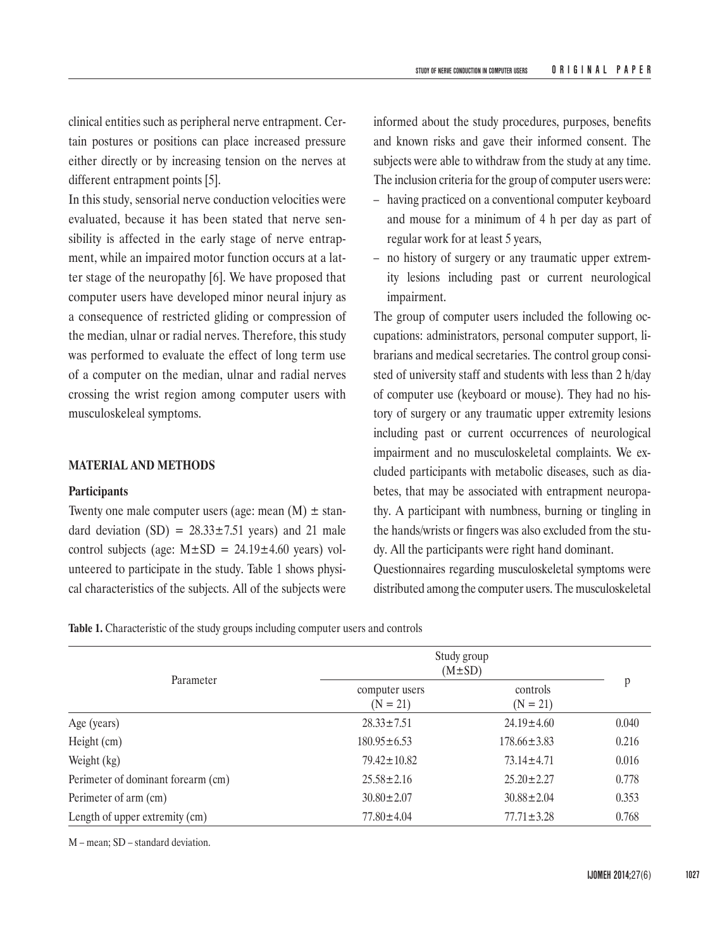clinical entities such as peripheral nerve entrapment. Certain postures or positions can place increased pressure either directly or by increasing tension on the nerves at different entrapment points [5].

In this study, sensorial nerve conduction velocities were evaluated, because it has been stated that nerve sensibility is affected in the early stage of nerve entrapment, while an impaired motor function occurs at a latter stage of the neuropathy [6]. We have proposed that computer users have developed minor neural injury as a consequence of restricted gliding or compression of the median, ulnar or radial nerves. Therefore, this study was performed to evaluate the effect of long term use of a computer on the median, ulnar and radial nerves crossing the wrist region among computer users with musculoskeleal symptoms.

# **MATERIAL AND METHODS**

# **Participants**

Twenty one male computer users (age: mean  $(M) \pm$  standard deviation  $(SD) = 28.33 \pm 7.51$  years) and 21 male control subjects (age:  $M \pm SD = 24.19 \pm 4.60$  years) volunteered to participate in the study. Table 1 shows physical characteristics of the subjects. All of the subjects were informed about the study procedures, purposes, benefits and known risks and gave their informed consent. The subjects were able to withdraw from the study at any time. The inclusion criteria for the group of computer users were:

- having practiced on a conventional computer keyboard and mouse for a minimum of 4 h per day as part of regular work for at least 5 years,
- no history of surgery or any traumatic upper extremity lesions including past or current neurological impairment.

The group of computer users included the following occupations: administrators, personal computer support, librarians and medical secretaries. The control group consisted of university staff and students with less than 2 h/day of computer use (keyboard or mouse). They had no history of surgery or any traumatic upper extremity lesions including past or current occurrences of neurological impairment and no musculoskeletal complaints. We excluded participants with metabolic diseases, such as diabetes, that may be associated with entrapment neuropathy. A participant with numbness, burning or tingling in the hands/wrists or fingers was also excluded from the study. All the participants were right hand dominant.

Questionnaires regarding musculoskeletal symptoms were distributed among the computer users. The musculoskeletal

**Table 1.** Characteristic of the study groups including computer users and controls

| Parameter                          | Study group<br>$(M \pm SD)$  |                        |       |
|------------------------------------|------------------------------|------------------------|-------|
|                                    | computer users<br>$(N = 21)$ | controls<br>$(N = 21)$ | p     |
| Age (years)                        | $28.33 \pm 7.51$             | $24.19 \pm 4.60$       | 0.040 |
| Height (cm)                        | $180.95 \pm 6.53$            | $178.66 \pm 3.83$      | 0.216 |
| Weight (kg)                        | $79.42 \pm 10.82$            | $73.14 \pm 4.71$       | 0.016 |
| Perimeter of dominant forearm (cm) | $25.58 \pm 2.16$             | $25.20 \pm 2.27$       | 0.778 |
| Perimeter of arm (cm)              | $30.80 \pm 2.07$             | $30.88 \pm 2.04$       | 0.353 |
| Length of upper extremity (cm)     | $77.80 \pm 4.04$             | $77.71 \pm 3.28$       | 0.768 |

M – mean; SD – standard deviation.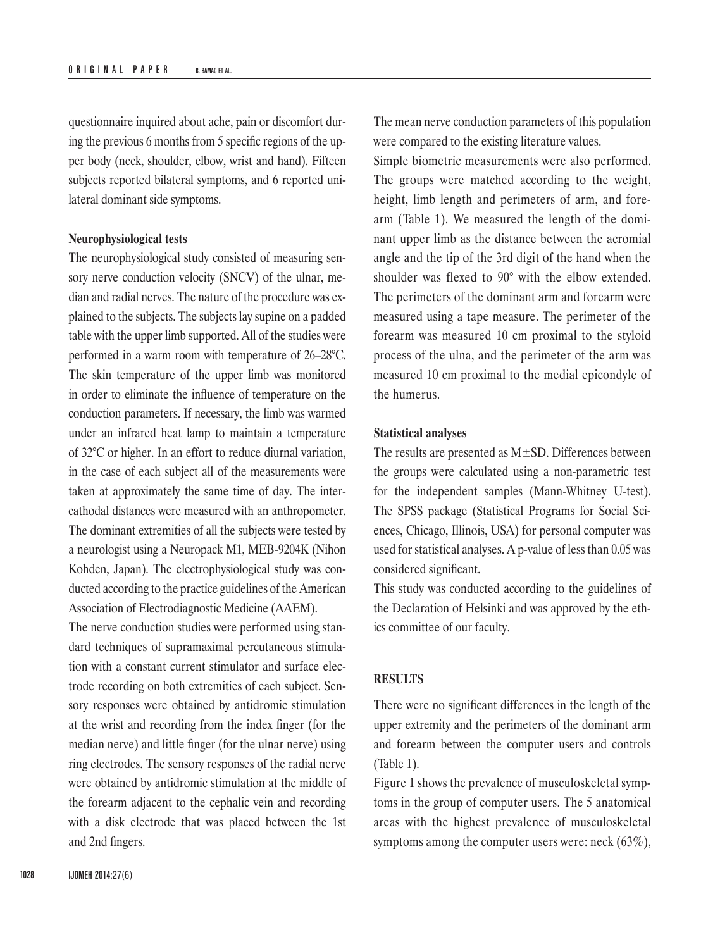questionnaire inquired about ache, pain or discomfort during the previous 6 months from 5 specific regions of the upper body (neck, shoulder, elbow, wrist and hand). Fifteen subjects reported bilateral symptoms, and 6 reported unilateral dominant side symptoms.

#### **Neurophysiological tests**

The neurophysiological study consisted of measuring sensory nerve conduction velocity (SNCV) of the ulnar, median and radial nerves. The nature of the procedure was explained to the subjects. The subjects lay supine on a padded table with the upper limb supported. All of the studies were performed in a warm room with temperature of 26–28°C. The skin temperature of the upper limb was monitored in order to eliminate the influence of temperature on the conduction parameters. If necessary, the limb was warmed under an infrared heat lamp to maintain a temperature of 32°C or higher. In an effort to reduce diurnal variation, in the case of each subject all of the measurements were taken at approximately the same time of day. The intercathodal distances were measured with an anthropometer. The dominant extremities of all the subjects were tested by a neurologist using a Neuropack M1, MEB-9204K (Nihon Kohden, Japan). The electrophysiological study was conducted according to the practice guidelines of the American Association of Electrodiagnostic Medicine (AAEM).

The nerve conduction studies were performed using standard techniques of supramaximal percutaneous stimulation with a constant current stimulator and surface electrode recording on both extremities of each subject. Sensory responses were obtained by antidromic stimulation at the wrist and recording from the index finger (for the median nerve) and little finger (for the ulnar nerve) using ring electrodes. The sensory responses of the radial nerve were obtained by antidromic stimulation at the middle of the forearm adjacent to the cephalic vein and recording with a disk electrode that was placed between the 1st and 2nd fingers.

The mean nerve conduction parameters of this population were compared to the existing literature values.

Simple biometric measurements were also performed. The groups were matched according to the weight, height, limb length and perimeters of arm, and forearm (Table 1). We measured the length of the dominant upper limb as the distance between the acromial angle and the tip of the 3rd digit of the hand when the shoulder was flexed to 90° with the elbow extended. The perimeters of the dominant arm and forearm were measured using a tape measure. The perimeter of the forearm was measured 10 cm proximal to the styloid process of the ulna, and the perimeter of the arm was measured 10 cm proximal to the medial epicondyle of the humerus.

### **Statistical analyses**

The results are presented as  $M \pm SD$ . Differences between the groups were calculated using a non-parametric test for the independent samples (Mann-Whitney U-test). The SPSS package (Statistical Programs for Social Sciences, Chicago, Illinois, USA) for personal computer was used for statistical analyses. A p-value of less than 0.05 was considered significant.

This study was conducted according to the guidelines of the Declaration of Helsinki and was approved by the ethics committee of our faculty.

# **RESULTS**

There were no significant differences in the length of the upper extremity and the perimeters of the dominant arm and forearm between the computer users and controls (Table 1).

Figure 1 shows the prevalence of musculoskeletal symptoms in the group of computer users. The 5 anatomical areas with the highest prevalence of musculoskeletal symptoms among the computer users were: neck (63%),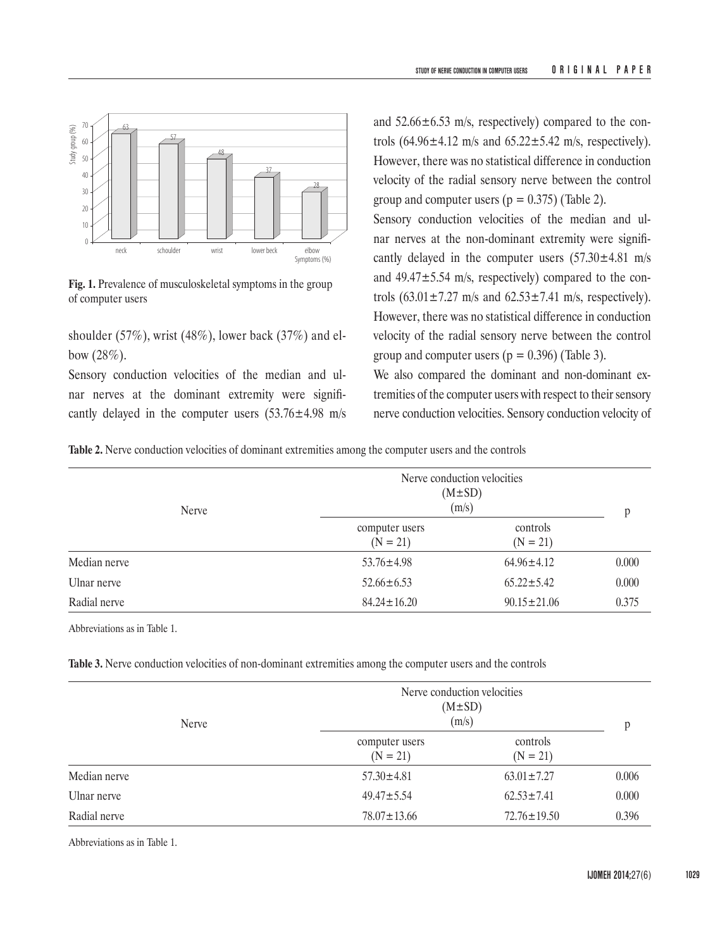

**Fig. 1.** Prevalence of musculoskeletal symptoms in the group of computer users

shoulder (57%), wrist (48%), lower back (37%) and elbow (28%).

Sensory conduction velocities of the median and ulnar nerves at the dominant extremity were significantly delayed in the computer users  $(53.76 \pm 4.98 \text{ m/s})$  and  $52.66 \pm 6.53$  m/s, respectively) compared to the controls  $(64.96 \pm 4.12 \text{ m/s}$  and  $65.22 \pm 5.42 \text{ m/s}$ , respectively). However, there was no statistical difference in conduction velocity of the radial sensory nerve between the control group and computer users  $(p = 0.375)$  (Table 2).

Sensory conduction velocities of the median and ulnar nerves at the non-dominant extremity were significantly delayed in the computer users  $(57.30 \pm 4.81 \text{ m/s})$ and  $49.47 \pm 5.54$  m/s, respectively) compared to the controls  $(63.01 \pm 7.27 \text{ m/s}$  and  $62.53 \pm 7.41 \text{ m/s}$ , respectively). However, there was no statistical difference in conduction velocity of the radial sensory nerve between the control group and computer users  $(p = 0.396)$  (Table 3).

We also compared the dominant and non-dominant extremities of the computer users with respect to their sensory nerve conduction velocities. Sensory conduction velocity of

**Table 2.** Nerve conduction velocities of dominant extremities among the computer users and the controls

| Nerve        | Nerve conduction velocities<br>$(M \pm SD)$<br>(m/s) |                        |       |
|--------------|------------------------------------------------------|------------------------|-------|
|              | computer users<br>$(N = 21)$                         | controls<br>$(N = 21)$ |       |
| Median nerve | $53.76 \pm 4.98$                                     | $64.96 \pm 4.12$       | 0.000 |
| Ulnar nerve  | $52.66 \pm 6.53$                                     | $65.22 \pm 5.42$       | 0.000 |
| Radial nerve | $84.24 \pm 16.20$                                    | $90.15 \pm 21.06$      | 0.375 |

Abbreviations as in Table 1.

**Table 3.** Nerve conduction velocities of non-dominant extremities among the computer users and the controls

| Nerve        |                              | Nerve conduction velocities<br>$(M \pm SD)$<br>(m/s) |       |
|--------------|------------------------------|------------------------------------------------------|-------|
|              | computer users<br>$(N = 21)$ | controls<br>$(N = 21)$                               |       |
| Median nerve | $57.30 \pm 4.81$             | $63.01 \pm 7.27$                                     | 0.006 |
| Ulnar nerve  | $49.47 \pm 5.54$             | $62.53 \pm 7.41$                                     | 0.000 |
| Radial nerve | $78.07 \pm 13.66$            | $72.76 \pm 19.50$                                    | 0.396 |

Abbreviations as in Table 1.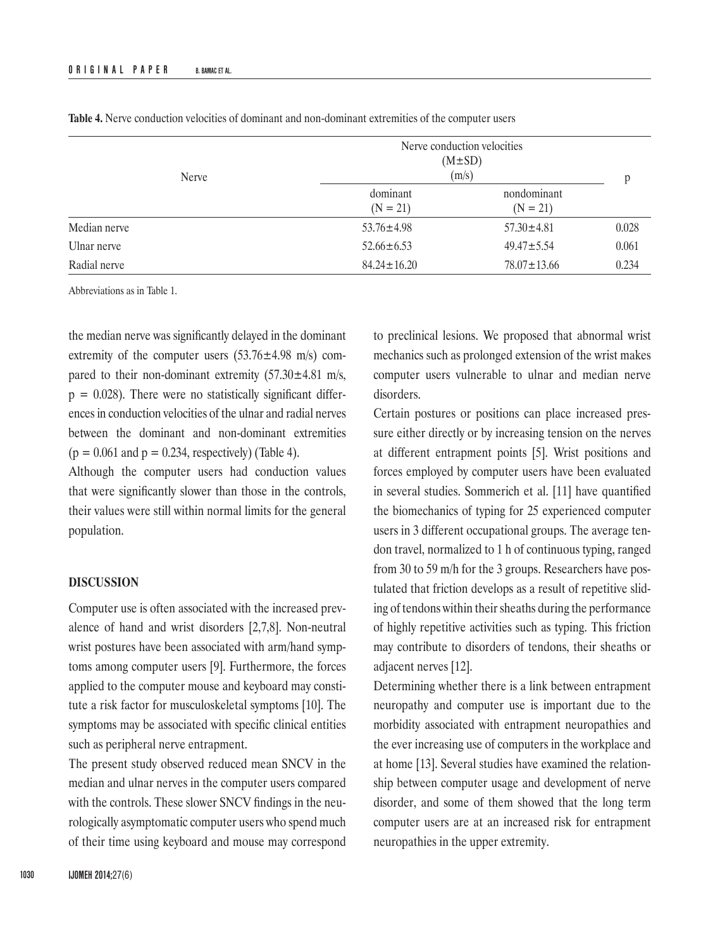| Nerve        | Nerve conduction velocities<br>$(M \pm SD)$<br>(m/s) |                           | D     |
|--------------|------------------------------------------------------|---------------------------|-------|
|              | dominant<br>$(N = 21)$                               | nondominant<br>$(N = 21)$ |       |
| Median nerve | $53.76 \pm 4.98$                                     | $57.30 \pm 4.81$          | 0.028 |
| Ulnar nerve  | $52.66 \pm 6.53$                                     | $49.47 \pm 5.54$          | 0.061 |
| Radial nerve | $84.24 \pm 16.20$                                    | $78.07 \pm 13.66$         | 0.234 |

**Table 4.** Nerve conduction velocities of dominant and non-dominant extremities of the computer users

Abbreviations as in Table 1.

the median nerve was significantly delayed in the dominant extremity of the computer users  $(53.76 \pm 4.98 \text{ m/s})$  compared to their non-dominant extremity  $(57.30 \pm 4.81 \text{ m/s})$ ,  $p = 0.028$ ). There were no statistically significant differences in conduction velocities of the ulnar and radial nerves between the dominant and non-dominant extremities  $(p = 0.061$  and  $p = 0.234$ , respectively) (Table 4).

Although the computer users had conduction values that were significantly slower than those in the controls, their values were still within normal limits for the general population.

#### **DISCUSSION**

Computer use is often associated with the increased prevalence of hand and wrist disorders [2,7,8]. Non-neutral wrist postures have been associated with arm/hand symptoms among computer users [9]. Furthermore, the forces applied to the computer mouse and keyboard may constitute a risk factor for musculoskeletal symptoms [10]. The symptoms may be associated with specific clinical entities such as peripheral nerve entrapment.

The present study observed reduced mean SNCV in the median and ulnar nerves in the computer users compared with the controls. These slower SNCV findings in the neurologically asymptomatic computer users who spend much of their time using keyboard and mouse may correspond

to preclinical lesions. We proposed that abnormal wrist mechanics such as prolonged extension of the wrist makes computer users vulnerable to ulnar and median nerve disorders.

Certain postures or positions can place increased pressure either directly or by increasing tension on the nerves at different entrapment points [5]. Wrist positions and forces employed by computer users have been evaluated in several studies. Sommerich et al. [11] have quantified the biomechanics of typing for 25 experienced computer users in 3 different occupational groups. The average tendon travel, normalized to 1 h of continuous typing, ranged from 30 to 59 m/h for the 3 groups. Researchers have postulated that friction develops as a result of repetitive sliding of tendons within their sheaths during the performance of highly repetitive activities such as typing. This friction may contribute to disorders of tendons, their sheaths or adjacent nerves [12].

Determining whether there is a link between entrapment neuropathy and computer use is important due to the morbidity associated with entrapment neuropathies and the ever increasing use of computers in the workplace and at home [13]. Several studies have examined the relationship between computer usage and development of nerve disorder, and some of them showed that the long term computer users are at an increased risk for entrapment neuropathies in the upper extremity.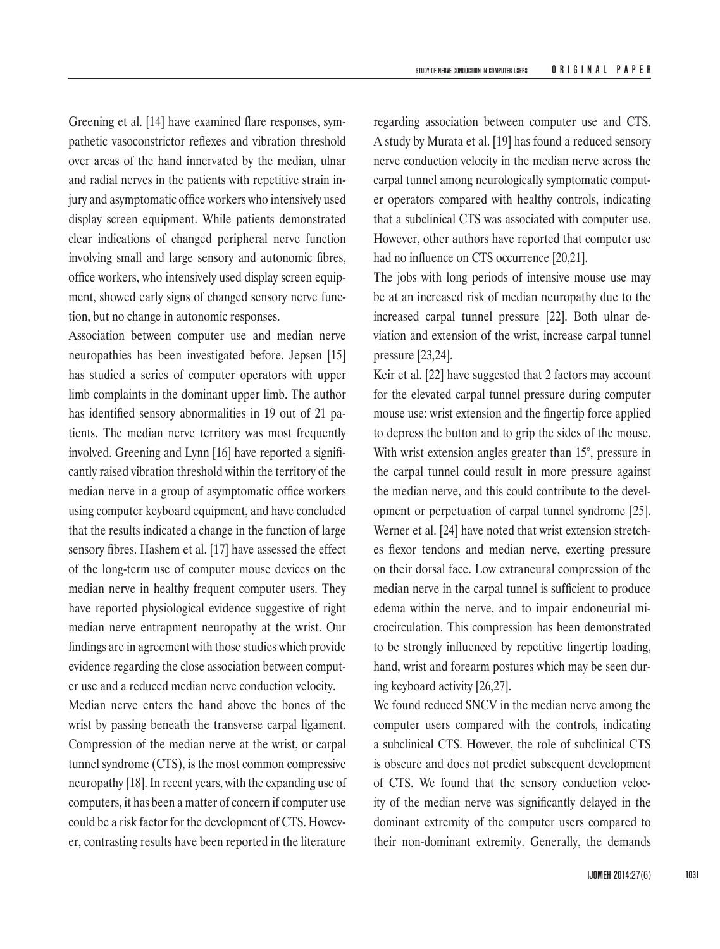Greening et al. [14] have examined flare responses, sympathetic vasoconstrictor reflexes and vibration threshold over areas of the hand innervated by the median, ulnar and radial nerves in the patients with repetitive strain injury and asymptomatic office workers who intensively used display screen equipment. While patients demonstrated clear indications of changed peripheral nerve function involving small and large sensory and autonomic fibres, office workers, who intensively used display screen equipment, showed early signs of changed sensory nerve function, but no change in autonomic responses.

Association between computer use and median nerve neuropathies has been investigated before. Jepsen [15] has studied a series of computer operators with upper limb complaints in the dominant upper limb. The author has identified sensory abnormalities in 19 out of 21 patients. The median nerve territory was most frequently involved. Greening and Lynn [16] have reported a significantly raised vibration threshold within the territory of the median nerve in a group of asymptomatic office workers using computer keyboard equipment, and have concluded that the results indicated a change in the function of large sensory fibres. Hashem et al. [17] have assessed the effect of the long-term use of computer mouse devices on the median nerve in healthy frequent computer users. They have reported physiological evidence suggestive of right median nerve entrapment neuropathy at the wrist. Our findings are in agreement with those studies which provide evidence regarding the close association between computer use and a reduced median nerve conduction velocity.

Median nerve enters the hand above the bones of the wrist by passing beneath the transverse carpal ligament. Compression of the median nerve at the wrist, or carpal tunnel syndrome (CTS), is the most common compressive neuropathy [18]. In recent years, with the expanding use of computers, it has been a matter of concern if computer use could be a risk factor for the development of CTS. However, contrasting results have been reported in the literature

regarding association between computer use and CTS. A study by Murata et al. [19] has found a reduced sensory nerve conduction velocity in the median nerve across the carpal tunnel among neurologically symptomatic computer operators compared with healthy controls, indicating that a subclinical CTS was associated with computer use. However, other authors have reported that computer use had no influence on CTS occurrence [20,21].

The jobs with long periods of intensive mouse use may be at an increased risk of median neuropathy due to the increased carpal tunnel pressure [22]. Both ulnar deviation and extension of the wrist, increase carpal tunnel pressure [23,24].

Keir et al. [22] have suggested that 2 factors may account for the elevated carpal tunnel pressure during computer mouse use: wrist extension and the fingertip force applied to depress the button and to grip the sides of the mouse. With wrist extension angles greater than 15°, pressure in the carpal tunnel could result in more pressure against the median nerve, and this could contribute to the development or perpetuation of carpal tunnel syndrome [25]. Werner et al. [24] have noted that wrist extension stretches flexor tendons and median nerve, exerting pressure on their dorsal face. Low extraneural compression of the median nerve in the carpal tunnel is sufficient to produce edema within the nerve, and to impair endoneurial microcirculation. This compression has been demonstrated to be strongly influenced by repetitive fingertip loading, hand, wrist and forearm postures which may be seen during keyboard activity [26,27].

We found reduced SNCV in the median nerve among the computer users compared with the controls, indicating a subclinical CTS. However, the role of subclinical CTS is obscure and does not predict subsequent development of CTS. We found that the sensory conduction velocity of the median nerve was significantly delayed in the dominant extremity of the computer users compared to their non-dominant extremity. Generally, the demands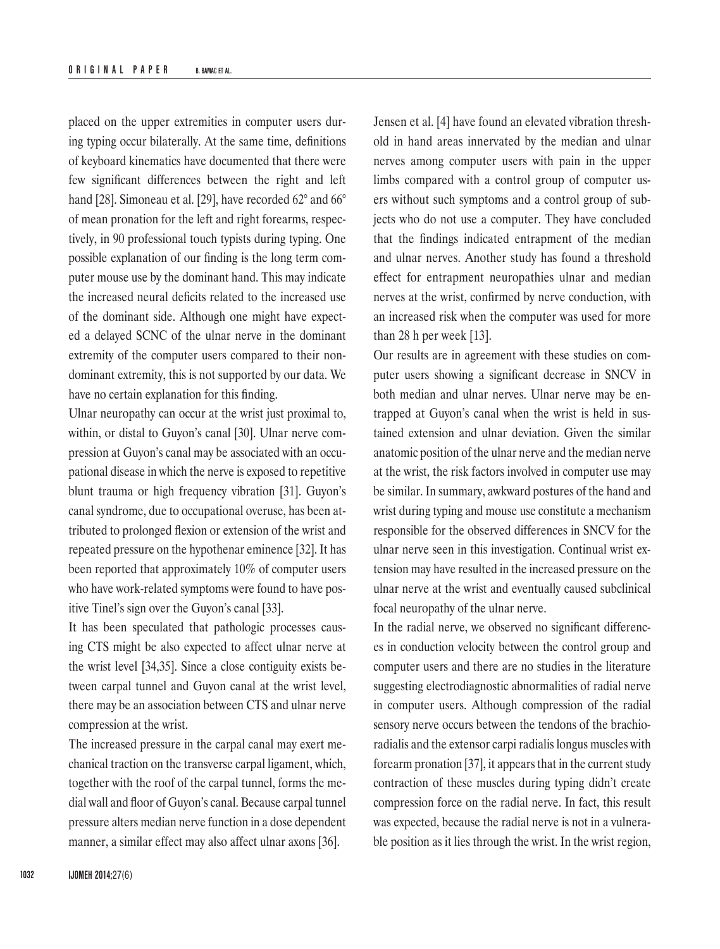placed on the upper extremities in computer users during typing occur bilaterally. At the same time, definitions of keyboard kinematics have documented that there were few significant differences between the right and left hand [28]. Simoneau et al. [29], have recorded 62° and 66° of mean pronation for the left and right forearms, respectively, in 90 professional touch typists during typing. One possible explanation of our finding is the long term computer mouse use by the dominant hand. This may indicate the increased neural deficits related to the increased use of the dominant side. Although one might have expected a delayed SCNC of the ulnar nerve in the dominant extremity of the computer users compared to their nondominant extremity, this is not supported by our data. We have no certain explanation for this finding.

Ulnar neuropathy can occur at the wrist just proximal to, within, or distal to Guyon's canal [30]. Ulnar nerve compression at Guyon's canal may be associated with an occupational disease in which the nerve is exposed to repetitive blunt trauma or high frequency vibration [31]. Guyon's canal syndrome, due to occupational overuse, has been attributed to prolonged flexion or extension of the wrist and repeated pressure on the hypothenar eminence [32]. It has been reported that approximately 10% of computer users who have work-related symptoms were found to have positive Tinel's sign over the Guyon's canal [33].

It has been speculated that pathologic processes causing CTS might be also expected to affect ulnar nerve at the wrist level [34,35]. Since a close contiguity exists between carpal tunnel and Guyon canal at the wrist level, there may be an association between CTS and ulnar nerve compression at the wrist.

The increased pressure in the carpal canal may exert mechanical traction on the transverse carpal ligament, which, together with the roof of the carpal tunnel, forms the medial wall and floor of Guyon's canal. Because carpal tunnel pressure alters median nerve function in a dose dependent manner, a similar effect may also affect ulnar axons [36].

Jensen et al. [4] have found an elevated vibration threshold in hand areas innervated by the median and ulnar nerves among computer users with pain in the upper limbs compared with a control group of computer users without such symptoms and a control group of subjects who do not use a computer. They have concluded that the findings indicated entrapment of the median and ulnar nerves. Another study has found a threshold effect for entrapment neuropathies ulnar and median nerves at the wrist, confirmed by nerve conduction, with an increased risk when the computer was used for more than 28 h per week [13].

Our results are in agreement with these studies on computer users showing a significant decrease in SNCV in both median and ulnar nerves. Ulnar nerve may be entrapped at Guyon's canal when the wrist is held in sustained extension and ulnar deviation. Given the similar anatomic position of the ulnar nerve and the median nerve at the wrist, the risk factors involved in computer use may be similar. In summary, awkward postures of the hand and wrist during typing and mouse use constitute a mechanism responsible for the observed differences in SNCV for the ulnar nerve seen in this investigation. Continual wrist extension may have resulted in the increased pressure on the ulnar nerve at the wrist and eventually caused subclinical focal neuropathy of the ulnar nerve.

In the radial nerve, we observed no significant differences in conduction velocity between the control group and computer users and there are no studies in the literature suggesting electrodiagnostic abnormalities of radial nerve in computer users. Although compression of the radial sensory nerve occurs between the tendons of the brachioradialis and the extensor carpi radialis longus muscles with forearm pronation [37], it appears that in the current study contraction of these muscles during typing didn't create compression force on the radial nerve. In fact, this result was expected, because the radial nerve is not in a vulnerable position as it lies through the wrist. In the wrist region,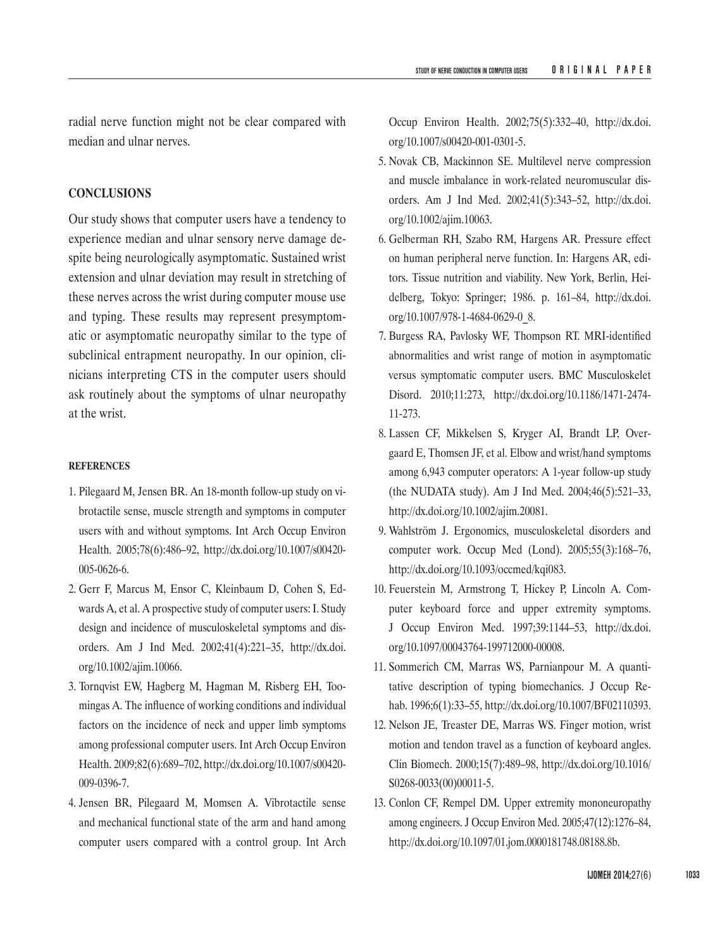radial nerve function might not be clear compared with median and ulnar nerves.

# **CONCLUSIONS**

Our study shows that computer users have a tendency to experience median and ulnar sensory nerve damage despite being neurologically asymptomatic. Sustained wrist extension and ulnar deviation may result in stretching of these nerves across the wrist during computer mouse use and typing. These results may represent presymptomatic or asymptomatic neuropathy similar to the type of subclinical entrapment neuropathy. In our opinion, clinicians interpreting CTS in the computer users should ask routinely about the symptoms of ulnar neuropathy at the wrist.

#### **REFERENCES**

- 1. Pilegaard M, Jensen BR. An 18-month follow-up study on vibrotactile sense, muscle strength and symptoms in computer users with and without symptoms. Int Arch Occup Environ Health. 2005;78(6):486–92, [http://dx.doi.org/10.1007/s00420-](http://dx.doi.org/10.1007/s00420-005-0626-6) [005-0626-6.](http://dx.doi.org/10.1007/s00420-005-0626-6)
- 2. Gerr F, Marcus M, Ensor C, Kleinbaum D, Cohen S, Edwards A, et al. A prospective study of computer users: I. Study design and incidence of musculoskeletal symptoms and disorders. Am J Ind Med. 2002;41(4):221–35, [http://dx.doi.](http://dx.doi.org/10.1002/ajim.10066) [org/10.1002/ajim.10066.](http://dx.doi.org/10.1002/ajim.10066)
- 3. Tornqvist EW, Hagberg M, Hagman M, Risberg EH, Toomingas A. The influence of working conditions and individual factors on the incidence of neck and upper limb symptoms among professional computer users. Int Arch Occup Environ Health. 2009;82(6):689–702, [http://dx.doi.org/10.1007/s00420-](http://dx.doi.org/10.1007/s00420-009-0396-7) [009-0396-7.](http://dx.doi.org/10.1007/s00420-009-0396-7)
- 4. Jensen BR, Pilegaard M, Momsen A. Vibrotactile sense and mechanical functional state of the arm and hand among computer users compared with a control group. Int Arch

Occup Environ Health. 2002;75(5):332–40, [http://dx.doi.](http://dx.doi.org/10.1007/s00420-001-0301-5) [org/10.1007/s00420-001-0301-5.](http://dx.doi.org/10.1007/s00420-001-0301-5)

- 5. Novak CB, Mackinnon SE. Multilevel nerve compression and muscle imbalance in work-related neuromuscular disorders. Am J Ind Med. 2002;41(5):343–52, [http://dx.doi.](http://dx.doi.org/10.1002/ajim.10063) [org/10.1002/ajim.10063](http://dx.doi.org/10.1002/ajim.10063).
- 6. Gelberman RH, Szabo RM, Hargens AR. Pressure effect on human peripheral nerve function. In: Hargens AR, editors. Tissue nutrition and viability. New York, Berlin, Heidelberg, Tokyo: Springer; 1986. p. 161–84, [http://dx.doi.](http://dx.doi.org/10.1007/978-1-4684-0629-0_8) [org/10.1007/978-1-4684-0629-0\\_8.](http://dx.doi.org/10.1007/978-1-4684-0629-0_8)
- 7. Burgess RA, Pavlosky WF, Thompson RT. MRI-identified abnormalities and wrist range of motion in asymptomatic versus symptomatic computer users. BMC Musculoskelet Disord. 2010;11:273, [http://dx.doi.org/10.1186/1471-2474-](http://dx.doi.org/10.1186/1471-2474-11-273) [11-273.](http://dx.doi.org/10.1186/1471-2474-11-273)
- 8. Lassen CF, Mikkelsen S, Kryger AI, Brandt LP, Overgaard E, Thomsen JF, et al. Elbow and wrist/hand symptoms among 6,943 computer operators: A 1-year follow-up study (the NUDATA study). Am J Ind Med. 2004;46(5):521–33, <http://dx.doi.org/10.1002/ajim.20081>.
- 9. Wahlström J. Ergonomics, musculoskeletal disorders and computer work. Occup Med (Lond). 2005;55(3):168–76, <http://dx.doi.org/10.1093/occmed/kqi083>.
- 10. Feuerstein M, Armstrong T, Hickey P, Lincoln A. Computer keyboard force and upper extremity symptoms. J Occup Environ Med. 1997;39:1144–53, [http://dx.doi.](http://dx.doi.org/10.1097/00043764-199712000-00008) [org/10.1097/00043764-199712000-00008](http://dx.doi.org/10.1097/00043764-199712000-00008).
- 11. Sommerich CM, Marras WS, Parnianpour M. A quantitative description of typing biomechanics. J Occup Rehab. 1996;6(1):33–55,<http://dx.doi.org/10.1007/BF02110393>.
- 12. Nelson JE, Treaster DE, Marras WS. Finger motion, wrist motion and tendon travel as a function of keyboard angles. Clin Biomech. 2000;15(7):489–98, [http://dx.doi.org/10.1016/](http://dx.doi.org/10.1016/S0268-0033(00)00011-5) [S0268-0033\(00\)00011-5](http://dx.doi.org/10.1016/S0268-0033(00)00011-5).
- 13. Conlon CF, Rempel DM. Upper extremity mononeuropathy among engineers. J Occup Environ Med. 2005;47(12):1276–84, [http://dx.doi.org/10.1097/01.jom.0000181748.08188.8b.](http://dx.doi.org/10.1097/01.jom.0000181748.08188.8b)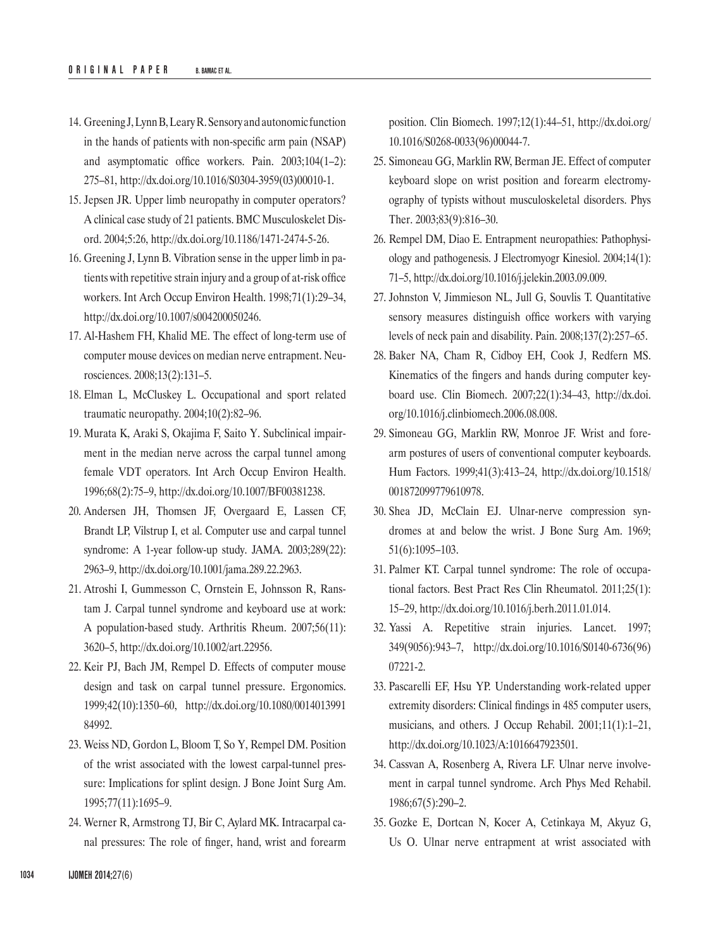- 14. Greening J, Lynn B, Leary R. Sensory and autonomic function in the hands of patients with non-specific arm pain (NSAP) and asymptomatic office workers. Pain. 2003;104(1–2): 275–81, [http://dx.doi.org/10.1016/S0304-3959\(03\)00010-1](http://dx.doi.org/10.1016/S0304-3959(03)00010-1).
- 15. Jepsen JR. Upper limb neuropathy in computer operators? A clinical case study of 21 patients. BMC Musculoskelet Disord. 2004;5:26, <http://dx.doi.org/10.1186/1471-2474-5-26>.
- 16. Greening J, Lynn B. Vibration sense in the upper limb in patients with repetitive strain injury and a group of at-risk office workers. Int Arch Occup Environ Health. 1998;71(1):29–34, <http://dx.doi.org/10.1007/s004200050246>.
- 17. Al-Hashem FH, Khalid ME. The effect of long-term use of computer mouse devices on median nerve entrapment. Neurosciences. 2008;13(2):131–5.
- 18. Elman L, McCluskey L. Occupational and sport related traumatic neuropathy. 2004;10(2):82–96.
- 19. Murata K, Araki S, Okajima F, Saito Y. Subclinical impairment in the median nerve across the carpal tunnel among female VDT operators. Int Arch Occup Environ Health. 1996;68(2):75–9, <http://dx.doi.org/10.1007/BF00381238>.
- 20. Andersen JH, Thomsen JF, Overgaard E, Lassen CF, Brandt LP, Vilstrup I, et al. Computer use and carpal tunnel syndrome: A 1-year follow-up study. JAMA. 2003;289(22): 2963–9, [http://dx.doi.org/10.1001/jama.289.22.2963.](http://dx.doi.org/10.1001/jama.289.22.2963)
- 21. Atroshi I, Gummesson C, Ornstein E, Johnsson R, Ranstam J. Carpal tunnel syndrome and keyboard use at work: A population-based study. Arthritis Rheum. 2007;56(11): 3620–5,<http://dx.doi.org/10.1002/art.22956>.
- 22. Keir PJ, Bach JM, Rempel D. Effects of computer mouse design and task on carpal tunnel pressure. Ergonomics. 1999;42(10):1350–60, [http://dx.doi.org/10.1080/0014013991](http://dx.doi.org/10.1080/001401399184992) [84992.](http://dx.doi.org/10.1080/001401399184992)
- 23. Weiss ND, Gordon L, Bloom T, So Y, Rempel DM. Position of the wrist associated with the lowest carpal-tunnel pressure: Implications for splint design. J Bone Joint Surg Am. 1995;77(11):1695–9.
- 24. Werner R, Armstrong TJ, Bir C, Aylard MK. Intracarpal canal pressures: The role of finger, hand, wrist and forearm

position. Clin Biomech. 1997;12(1):44–51, [http://dx.doi.org/](http://dx.doi.org/10.1016/S0268-0033(96)00044-7) [10.1016/S0268-0033\(96\)00044-7](http://dx.doi.org/10.1016/S0268-0033(96)00044-7).

- 25. Simoneau GG, Marklin RW, Berman JE. Effect of computer keyboard slope on wrist position and forearm electromyography of typists without musculoskeletal disorders. Phys Ther. 2003;83(9):816–30.
- 26. Rempel DM, Diao E. Entrapment neuropathies: Pathophysiology and pathogenesis. J Electromyogr Kinesiol. 2004;14(1): 71–5,<http://dx.doi.org/10.1016/j.jelekin.2003.09.009>.
- 27. Johnston V, Jimmieson NL, Jull G, Souvlis T. Quantitative sensory measures distinguish office workers with varying levels of neck pain and disability. Pain. 2008;137(2):257–65.
- 28. Baker NA, Cham R, Cidboy EH, Cook J, Redfern MS. Kinematics of the fingers and hands during computer keyboard use. Clin Biomech. 2007;22(1):34–43, [http://dx.doi.](http://dx.doi.org/10.1016/j.clinbiomech.2006.08.008) [org/10.1016/j.clinbiomech.2006.08.008](http://dx.doi.org/10.1016/j.clinbiomech.2006.08.008).
- 29. Simoneau GG, Marklin RW, Monroe JF. Wrist and forearm postures of users of conventional computer keyboards. Hum Factors. 1999;41(3):413–24, [http://dx.doi.org/10.1518/](http://dx.doi.org/10.1518/001872099779610978) [001872099779610978](http://dx.doi.org/10.1518/001872099779610978).
- 30. Shea JD, McClain EJ. Ulnar-nerve compression syndromes at and below the wrist. J Bone Surg Am. 1969; 51(6):1095–103.
- 31. Palmer KT. Carpal tunnel syndrome: The role of occupational factors. Best Pract Res Clin Rheumatol. 2011;25(1): 15–29,<http://dx.doi.org/10.1016/j.berh.2011.01.014>.
- 32. Yassi A. Repetitive strain injuries. Lancet. 1997; 349(9056):943–7, [http://dx.doi.org/10.1016/S0140-6736\(96\)](http://dx.doi.org/10.1016/S0140-6736(96)07221-2) [07221-2](http://dx.doi.org/10.1016/S0140-6736(96)07221-2).
- 33. Pascarelli EF, Hsu YP. Understanding work-related upper extremity disorders: Clinical findings in 485 computer users, musicians, and others. J Occup Rehabil. 2001;11(1):1–21, <http://dx.doi.org/10.1023/A:1016647923501>.
- 34. Cassvan A, Rosenberg A, Rivera LF. Ulnar nerve involvement in carpal tunnel syndrome. Arch Phys Med Rehabil. 1986;67(5):290–2.
- 35. Gozke E, Dortcan N, Kocer A, Cetinkaya M, Akyuz G, Us O. Ulnar nerve entrapment at wrist associated with